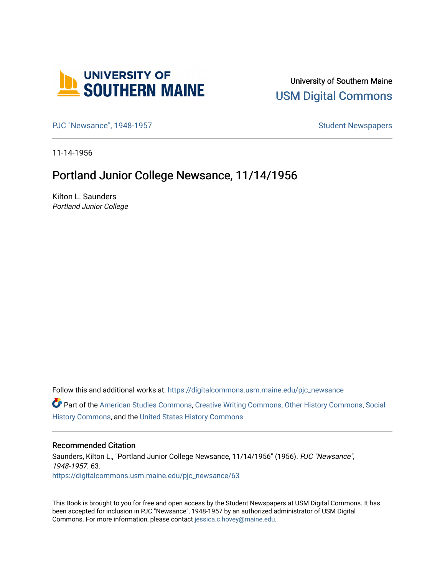

University of Southern Maine [USM Digital Commons](https://digitalcommons.usm.maine.edu/) 

[PJC "Newsance", 1948-1957](https://digitalcommons.usm.maine.edu/pjc_newsance) Student Newspapers

11-14-1956

## Portland Junior College Newsance, 11/14/1956

Kilton L. Saunders Portland Junior College

Follow this and additional works at: [https://digitalcommons.usm.maine.edu/pjc\\_newsance](https://digitalcommons.usm.maine.edu/pjc_newsance?utm_source=digitalcommons.usm.maine.edu%2Fpjc_newsance%2F63&utm_medium=PDF&utm_campaign=PDFCoverPages)

Part of the [American Studies Commons](http://network.bepress.com/hgg/discipline/439?utm_source=digitalcommons.usm.maine.edu%2Fpjc_newsance%2F63&utm_medium=PDF&utm_campaign=PDFCoverPages), [Creative Writing Commons](http://network.bepress.com/hgg/discipline/574?utm_source=digitalcommons.usm.maine.edu%2Fpjc_newsance%2F63&utm_medium=PDF&utm_campaign=PDFCoverPages), [Other History Commons,](http://network.bepress.com/hgg/discipline/508?utm_source=digitalcommons.usm.maine.edu%2Fpjc_newsance%2F63&utm_medium=PDF&utm_campaign=PDFCoverPages) [Social](http://network.bepress.com/hgg/discipline/506?utm_source=digitalcommons.usm.maine.edu%2Fpjc_newsance%2F63&utm_medium=PDF&utm_campaign=PDFCoverPages)  [History Commons](http://network.bepress.com/hgg/discipline/506?utm_source=digitalcommons.usm.maine.edu%2Fpjc_newsance%2F63&utm_medium=PDF&utm_campaign=PDFCoverPages), and the [United States History Commons](http://network.bepress.com/hgg/discipline/495?utm_source=digitalcommons.usm.maine.edu%2Fpjc_newsance%2F63&utm_medium=PDF&utm_campaign=PDFCoverPages) 

## Recommended Citation

Saunders, Kilton L., "Portland Junior College Newsance, 11/14/1956" (1956). PJC "Newsance", 1948-1957. 63. [https://digitalcommons.usm.maine.edu/pjc\\_newsance/63](https://digitalcommons.usm.maine.edu/pjc_newsance/63?utm_source=digitalcommons.usm.maine.edu%2Fpjc_newsance%2F63&utm_medium=PDF&utm_campaign=PDFCoverPages) 

This Book is brought to you for free and open access by the Student Newspapers at USM Digital Commons. It has been accepted for inclusion in PJC "Newsance", 1948-1957 by an authorized administrator of USM Digital Commons. For more information, please contact [jessica.c.hovey@maine.edu.](mailto:ian.fowler@maine.edu)